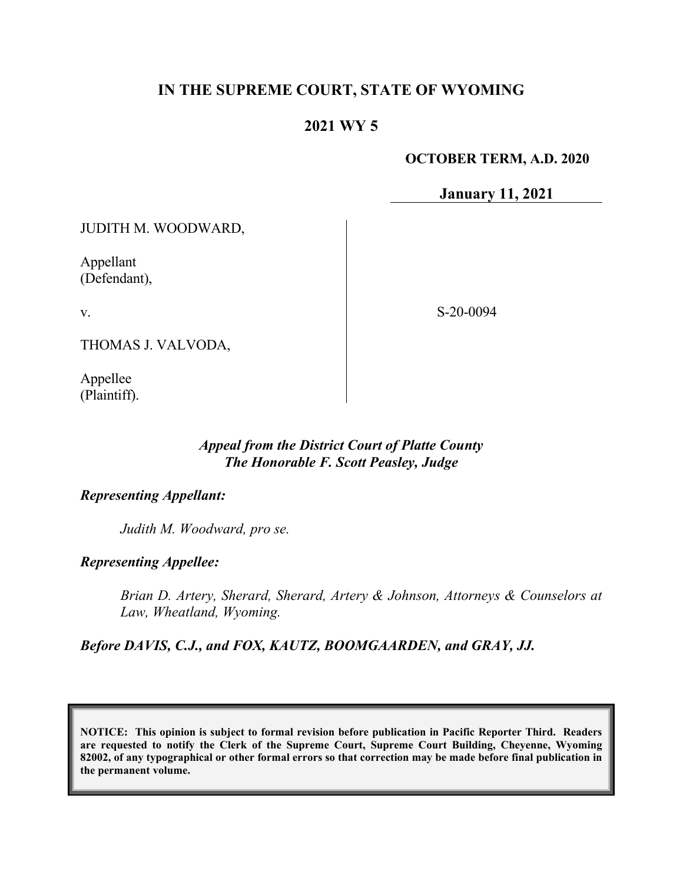# **IN THE SUPREME COURT, STATE OF WYOMING**

## **2021 WY 5**

### **OCTOBER TERM, A.D. 2020**

**January 11, 2021**

JUDITH M. WOODWARD,

Appellant (Defendant),

v.

S-20-0094

THOMAS J. VALVODA,

Appellee (Plaintiff).

### *Appeal from the District Court of Platte County The Honorable F. Scott Peasley, Judge*

### *Representing Appellant:*

*Judith M. Woodward, pro se.*

*Representing Appellee:*

*Brian D. Artery, Sherard, Sherard, Artery & Johnson, Attorneys & Counselors at Law, Wheatland, Wyoming.*

*Before DAVIS, C.J., and FOX, KAUTZ, BOOMGAARDEN, and GRAY, JJ.*

**NOTICE: This opinion is subject to formal revision before publication in Pacific Reporter Third. Readers are requested to notify the Clerk of the Supreme Court, Supreme Court Building, Cheyenne, Wyoming 82002, of any typographical or other formal errors so that correction may be made before final publication in the permanent volume.**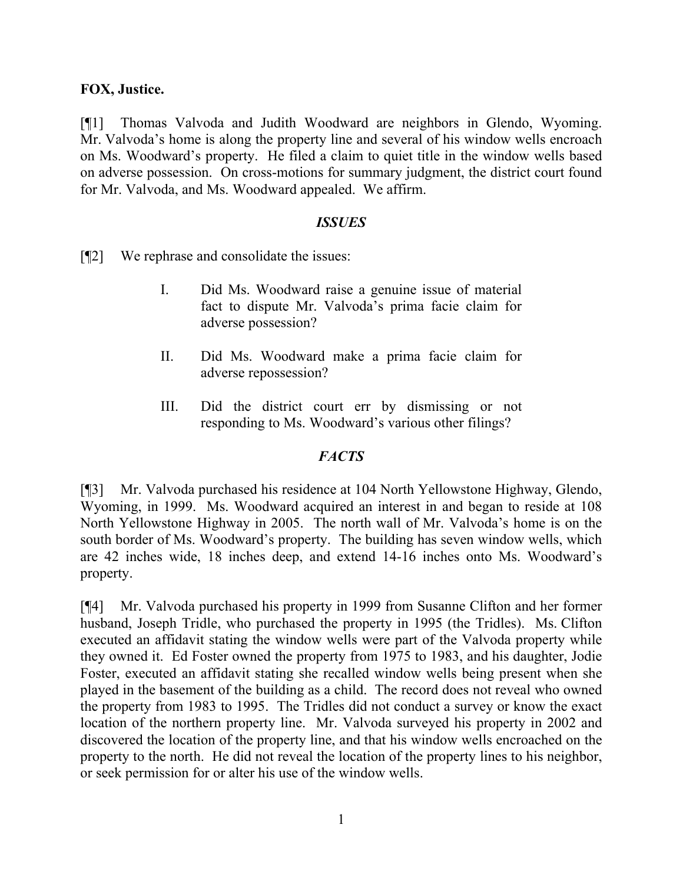### **FOX, Justice.**

[¶1] Thomas Valvoda and Judith Woodward are neighbors in Glendo, Wyoming. Mr. Valvoda's home is along the property line and several of his window wells encroach on Ms. Woodward's property. He filed a claim to quiet title in the window wells based on adverse possession. On cross-motions for summary judgment, the district court found for Mr. Valvoda, and Ms. Woodward appealed. We affirm.

### *ISSUES*

[¶2] We rephrase and consolidate the issues:

- I. Did Ms. Woodward raise a genuine issue of material fact to dispute Mr. Valvoda's prima facie claim for adverse possession?
- II. Did Ms. Woodward make a prima facie claim for adverse repossession?
- III. Did the district court err by dismissing or not responding to Ms. Woodward's various other filings?

### *FACTS*

[¶3] Mr. Valvoda purchased his residence at 104 North Yellowstone Highway, Glendo, Wyoming, in 1999. Ms. Woodward acquired an interest in and began to reside at 108 North Yellowstone Highway in 2005. The north wall of Mr. Valvoda's home is on the south border of Ms. Woodward's property. The building has seven window wells, which are 42 inches wide, 18 inches deep, and extend 14-16 inches onto Ms. Woodward's property.

[¶4] Mr. Valvoda purchased his property in 1999 from Susanne Clifton and her former husband, Joseph Tridle, who purchased the property in 1995 (the Tridles). Ms. Clifton executed an affidavit stating the window wells were part of the Valvoda property while they owned it. Ed Foster owned the property from 1975 to 1983, and his daughter, Jodie Foster, executed an affidavit stating she recalled window wells being present when she played in the basement of the building as a child. The record does not reveal who owned the property from 1983 to 1995. The Tridles did not conduct a survey or know the exact location of the northern property line. Mr. Valvoda surveyed his property in 2002 and discovered the location of the property line, and that his window wells encroached on the property to the north. He did not reveal the location of the property lines to his neighbor, or seek permission for or alter his use of the window wells.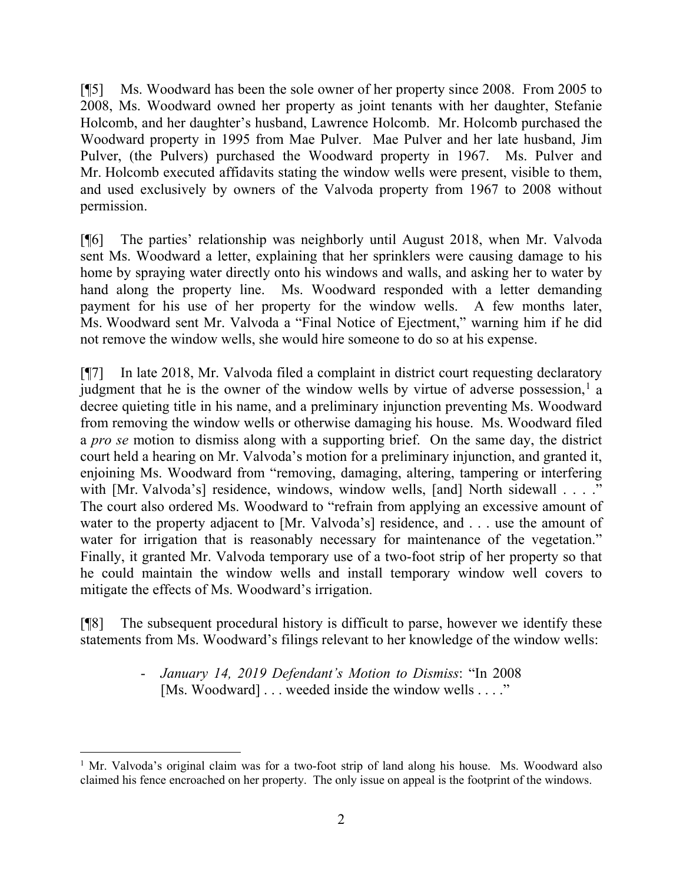[¶5] Ms. Woodward has been the sole owner of her property since 2008. From 2005 to 2008, Ms. Woodward owned her property as joint tenants with her daughter, Stefanie Holcomb, and her daughter's husband, Lawrence Holcomb. Mr. Holcomb purchased the Woodward property in 1995 from Mae Pulver. Mae Pulver and her late husband, Jim Pulver, (the Pulvers) purchased the Woodward property in 1967. Ms. Pulver and Mr. Holcomb executed affidavits stating the window wells were present, visible to them, and used exclusively by owners of the Valvoda property from 1967 to 2008 without permission.

[¶6] The parties' relationship was neighborly until August 2018, when Mr. Valvoda sent Ms. Woodward a letter, explaining that her sprinklers were causing damage to his home by spraying water directly onto his windows and walls, and asking her to water by hand along the property line. Ms. Woodward responded with a letter demanding payment for his use of her property for the window wells. A few months later, Ms. Woodward sent Mr. Valvoda a "Final Notice of Ejectment," warning him if he did not remove the window wells, she would hire someone to do so at his expense.

[¶7] In late 2018, Mr. Valvoda filed a complaint in district court requesting declaratory judgment that he is the owner of the window wells by virtue of adverse possession,<sup>[1](#page-2-0)</sup> a decree quieting title in his name, and a preliminary injunction preventing Ms. Woodward from removing the window wells or otherwise damaging his house. Ms. Woodward filed a *pro se* motion to dismiss along with a supporting brief. On the same day, the district court held a hearing on Mr. Valvoda's motion for a preliminary injunction, and granted it, enjoining Ms. Woodward from "removing, damaging, altering, tampering or interfering with [Mr. Valvoda's] residence, windows, window wells, [and] North sidewall . . . ." The court also ordered Ms. Woodward to "refrain from applying an excessive amount of water to the property adjacent to [Mr. Valvoda's] residence, and . . . use the amount of water for irrigation that is reasonably necessary for maintenance of the vegetation." Finally, it granted Mr. Valvoda temporary use of a two-foot strip of her property so that he could maintain the window wells and install temporary window well covers to mitigate the effects of Ms. Woodward's irrigation.

[¶8] The subsequent procedural history is difficult to parse, however we identify these statements from Ms. Woodward's filings relevant to her knowledge of the window wells:

> - *January 14, 2019 Defendant's Motion to Dismiss*: "In 2008 [Ms. Woodward] . . . weeded inside the window wells . . . ."

<span id="page-2-0"></span><sup>&</sup>lt;sup>1</sup> Mr. Valvoda's original claim was for a two-foot strip of land along his house. Ms. Woodward also claimed his fence encroached on her property. The only issue on appeal is the footprint of the windows.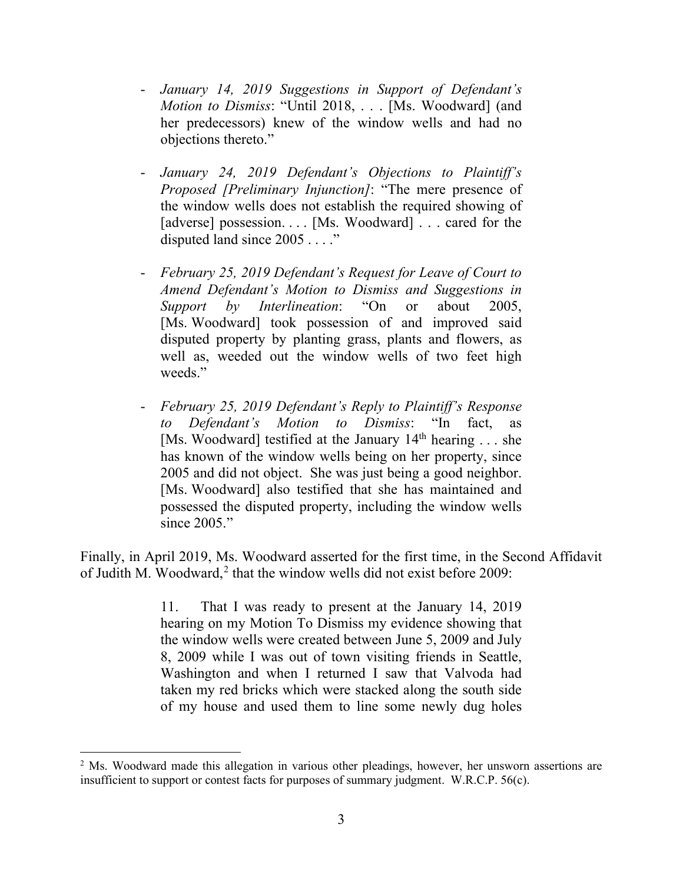- *January 14, 2019 Suggestions in Support of Defendant's Motion to Dismiss*: "Until 2018, . . . [Ms. Woodward] (and her predecessors) knew of the window wells and had no objections thereto."
- *January 24, 2019 Defendant's Objections to Plaintiff's Proposed [Preliminary Injunction]*: "The mere presence of the window wells does not establish the required showing of [adverse] possession. . . . [Ms. Woodward] . . . cared for the disputed land since 2005 . . . ."
- *February 25, 2019 Defendant's Request for Leave of Court to Amend Defendant's Motion to Dismiss and Suggestions in Support by Interlineation*: "On or about 2005, [Ms. Woodward] took possession of and improved said disputed property by planting grass, plants and flowers, as well as, weeded out the window wells of two feet high weeds."
- *February 25, 2019 Defendant's Reply to Plaintiff's Response to Defendant's Motion to Dismiss*: "In fact, as [Ms. Woodward] testified at the January  $14<sup>th</sup>$  hearing ... she has known of the window wells being on her property, since 2005 and did not object. She was just being a good neighbor. [Ms. Woodward] also testified that she has maintained and possessed the disputed property, including the window wells since 2005."

Finally, in April 2019, Ms. Woodward asserted for the first time, in the Second Affidavit of Judith M. Woodward,<sup>[2](#page-3-0)</sup> that the window wells did not exist before 2009:

> 11. That I was ready to present at the January 14, 2019 hearing on my Motion To Dismiss my evidence showing that the window wells were created between June 5, 2009 and July 8, 2009 while I was out of town visiting friends in Seattle, Washington and when I returned I saw that Valvoda had taken my red bricks which were stacked along the south side of my house and used them to line some newly dug holes

<span id="page-3-0"></span><sup>&</sup>lt;sup>2</sup> Ms. Woodward made this allegation in various other pleadings, however, her unsworn assertions are insufficient to support or contest facts for purposes of summary judgment. W.R.C.P. 56(c).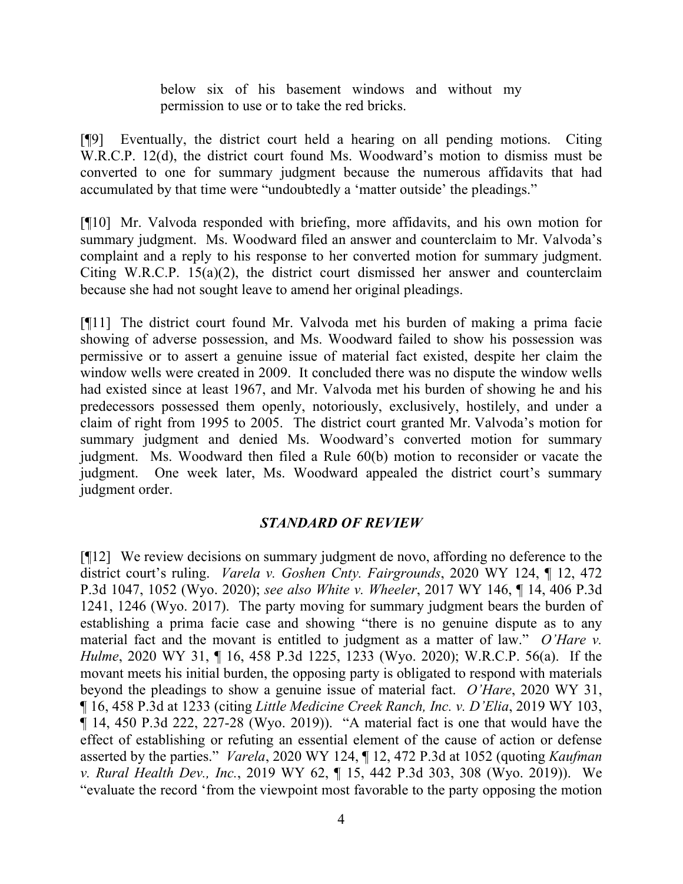below six of his basement windows and without my permission to use or to take the red bricks.

[¶9] Eventually, the district court held a hearing on all pending motions. Citing W.R.C.P. 12(d), the district court found Ms. Woodward's motion to dismiss must be converted to one for summary judgment because the numerous affidavits that had accumulated by that time were "undoubtedly a 'matter outside' the pleadings."

[¶10] Mr. Valvoda responded with briefing, more affidavits, and his own motion for summary judgment. Ms. Woodward filed an answer and counterclaim to Mr. Valvoda's complaint and a reply to his response to her converted motion for summary judgment. Citing W.R.C.P. 15(a)(2), the district court dismissed her answer and counterclaim because she had not sought leave to amend her original pleadings.

[¶11] The district court found Mr. Valvoda met his burden of making a prima facie showing of adverse possession, and Ms. Woodward failed to show his possession was permissive or to assert a genuine issue of material fact existed, despite her claim the window wells were created in 2009. It concluded there was no dispute the window wells had existed since at least 1967, and Mr. Valvoda met his burden of showing he and his predecessors possessed them openly, notoriously, exclusively, hostilely, and under a claim of right from 1995 to 2005. The district court granted Mr. Valvoda's motion for summary judgment and denied Ms. Woodward's converted motion for summary judgment. Ms. Woodward then filed a Rule 60(b) motion to reconsider or vacate the judgment. One week later, Ms. Woodward appealed the district court's summary judgment order.

### *STANDARD OF REVIEW*

[¶12] We review decisions on summary judgment de novo, affording no deference to the district court's ruling. *Varela v. Goshen Cnty. Fairgrounds*, 2020 WY 124, ¶ 12, 472 P.3d 1047, 1052 (Wyo. 2020); *see also White v. Wheeler*, 2017 WY 146, ¶ 14, 406 P.3d 1241, 1246 (Wyo. 2017). The party moving for summary judgment bears the burden of establishing a prima facie case and showing "there is no genuine dispute as to any material fact and the movant is entitled to judgment as a matter of law." *O'Hare v. Hulme*, 2020 WY 31, ¶ 16, 458 P.3d 1225, 1233 (Wyo. 2020); W.R.C.P. 56(a). If the movant meets his initial burden, the opposing party is obligated to respond with materials beyond the pleadings to show a genuine issue of material fact. *O'Hare*, 2020 WY 31, ¶ 16, 458 P.3d at 1233 (citing *Little Medicine Creek Ranch, Inc. v. D'Elia*, 2019 WY 103, ¶ 14, 450 P.3d 222, 227-28 (Wyo. 2019)). "A material fact is one that would have the effect of establishing or refuting an essential element of the cause of action or defense asserted by the parties." *Varela*, 2020 WY 124, ¶ 12, 472 P.3d at 1052 (quoting *Kaufman v. Rural Health Dev., Inc.*, 2019 WY 62, ¶ 15, 442 P.3d 303, 308 (Wyo. 2019)). We "evaluate the record 'from the viewpoint most favorable to the party opposing the motion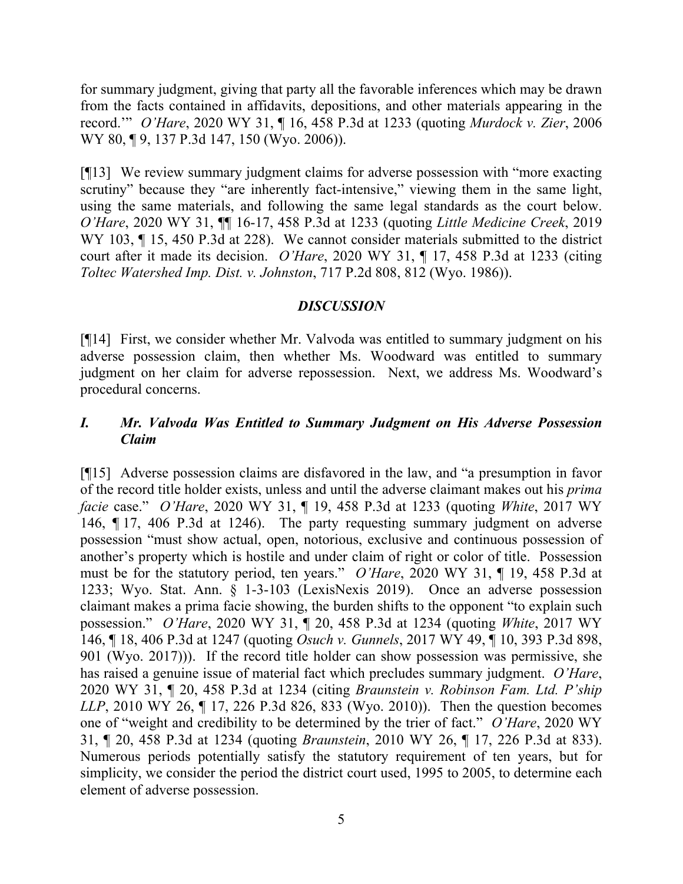for summary judgment, giving that party all the favorable inferences which may be drawn from the facts contained in affidavits, depositions, and other materials appearing in the record.'" *O'Hare*, 2020 WY 31, ¶ 16, 458 P.3d at 1233 (quoting *Murdock v. Zier*, 2006 WY 80, 19, 137 P.3d 147, 150 (Wyo. 2006)).

[¶13] We review summary judgment claims for adverse possession with "more exacting scrutiny" because they "are inherently fact-intensive," viewing them in the same light, using the same materials, and following the same legal standards as the court below. *O'Hare*, 2020 WY 31, ¶¶ 16-17, 458 P.3d at 1233 (quoting *Little Medicine Creek*, 2019 WY 103,  $\P$  15, 450 P.3d at 228). We cannot consider materials submitted to the district court after it made its decision. *O'Hare*, 2020 WY 31, ¶ 17, 458 P.3d at 1233 (citing *Toltec Watershed Imp. Dist. v. Johnston*, 717 P.2d 808, 812 (Wyo. 1986)).

### *DISCUSSION*

[¶14] First, we consider whether Mr. Valvoda was entitled to summary judgment on his adverse possession claim, then whether Ms. Woodward was entitled to summary judgment on her claim for adverse repossession. Next, we address Ms. Woodward's procedural concerns.

## *I. Mr. Valvoda Was Entitled to Summary Judgment on His Adverse Possession Claim*

[¶15] Adverse possession claims are disfavored in the law, and "a presumption in favor of the record title holder exists, unless and until the adverse claimant makes out his *prima facie* case." *O'Hare*, 2020 WY 31, ¶ 19, 458 P.3d at 1233 (quoting *White*, 2017 WY 146, ¶ 17, 406 P.3d at 1246). The party requesting summary judgment on adverse possession "must show actual, open, notorious, exclusive and continuous possession of another's property which is hostile and under claim of right or color of title. Possession must be for the statutory period, ten years." *O'Hare*, 2020 WY 31, ¶ 19, 458 P.3d at 1233; Wyo. Stat. Ann. § 1-3-103 (LexisNexis 2019). Once an adverse possession claimant makes a prima facie showing, the burden shifts to the opponent "to explain such possession." *O'Hare*, 2020 WY 31, ¶ 20, 458 P.3d at 1234 (quoting *White*, 2017 WY 146, ¶ 18, 406 P.3d at 1247 (quoting *Osuch v. Gunnels*, 2017 WY 49, ¶ 10, 393 P.3d 898, 901 (Wyo. 2017))). If the record title holder can show possession was permissive, she has raised a genuine issue of material fact which precludes summary judgment. *O'Hare*, 2020 WY 31, ¶ 20, 458 P.3d at 1234 (citing *Braunstein v. Robinson Fam. Ltd. P'ship LLP*, 2010 WY 26, ¶ 17, 226 P.3d 826, 833 (Wyo. 2010)). Then the question becomes one of "weight and credibility to be determined by the trier of fact." *O'Hare*, 2020 WY 31, ¶ 20, 458 P.3d at 1234 (quoting *Braunstein*, 2010 WY 26, ¶ 17, 226 P.3d at 833). Numerous periods potentially satisfy the statutory requirement of ten years, but for simplicity, we consider the period the district court used, 1995 to 2005, to determine each element of adverse possession.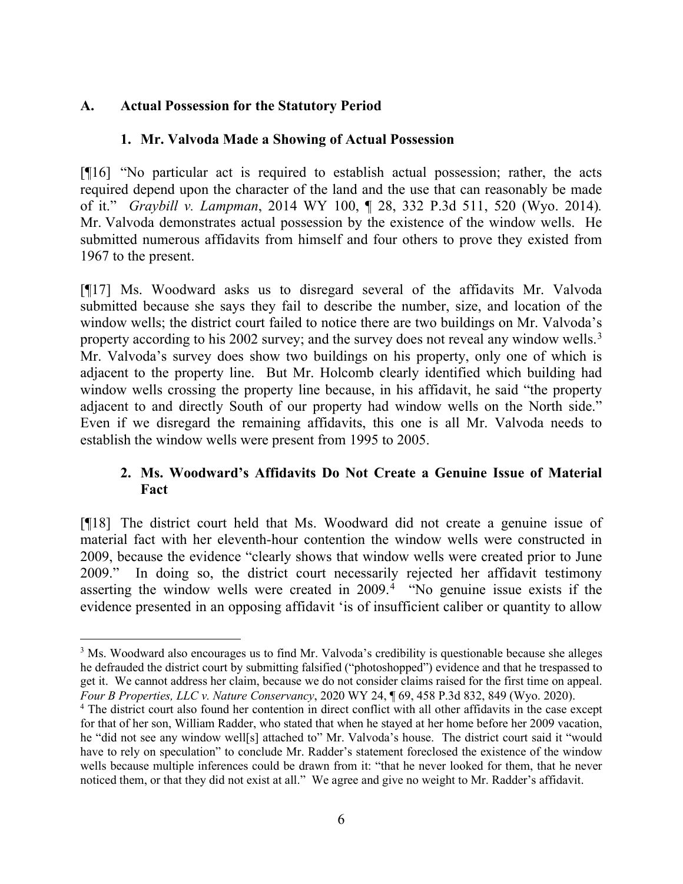## **A. Actual Possession for the Statutory Period**

## **1. Mr. Valvoda Made a Showing of Actual Possession**

[¶16] "No particular act is required to establish actual possession; rather, the acts required depend upon the character of the land and the use that can reasonably be made of it." *Graybill v. Lampman*, 2014 WY 100, ¶ 28, 332 P.3d 511, 520 (Wyo. 2014)*.* Mr. Valvoda demonstrates actual possession by the existence of the window wells. He submitted numerous affidavits from himself and four others to prove they existed from 1967 to the present.

[¶17] Ms. Woodward asks us to disregard several of the affidavits Mr. Valvoda submitted because she says they fail to describe the number, size, and location of the window wells; the district court failed to notice there are two buildings on Mr. Valvoda's property according to his 2002 survey; and the survey does not reveal any window wells.<sup>[3](#page-6-0)</sup> Mr. Valvoda's survey does show two buildings on his property, only one of which is adjacent to the property line. But Mr. Holcomb clearly identified which building had window wells crossing the property line because, in his affidavit, he said "the property adjacent to and directly South of our property had window wells on the North side." Even if we disregard the remaining affidavits, this one is all Mr. Valvoda needs to establish the window wells were present from 1995 to 2005.

# **2. Ms. Woodward's Affidavits Do Not Create a Genuine Issue of Material Fact**

[¶18] The district court held that Ms. Woodward did not create a genuine issue of material fact with her eleventh-hour contention the window wells were constructed in 2009, because the evidence "clearly shows that window wells were created prior to June 2009." In doing so, the district court necessarily rejected her affidavit testimony asserting the window wells were created in 2009.<sup>[4](#page-6-1)</sup> "No genuine issue exists if the evidence presented in an opposing affidavit 'is of insufficient caliber or quantity to allow

<span id="page-6-0"></span><sup>&</sup>lt;sup>3</sup> Ms. Woodward also encourages us to find Mr. Valvoda's credibility is questionable because she alleges he defrauded the district court by submitting falsified ("photoshopped") evidence and that he trespassed to get it. We cannot address her claim, because we do not consider claims raised for the first time on appeal. *Four B Properties, LLC v. Nature Conservancy*, 2020 WY 24, ¶ 69, 458 P.3d 832, 849 (Wyo. 2020).

<span id="page-6-1"></span><sup>&</sup>lt;sup>4</sup> The district court also found her contention in direct conflict with all other affidavits in the case except for that of her son, William Radder, who stated that when he stayed at her home before her 2009 vacation, he "did not see any window well[s] attached to" Mr. Valvoda's house. The district court said it "would have to rely on speculation" to conclude Mr. Radder's statement foreclosed the existence of the window wells because multiple inferences could be drawn from it: "that he never looked for them, that he never noticed them, or that they did not exist at all." We agree and give no weight to Mr. Radder's affidavit.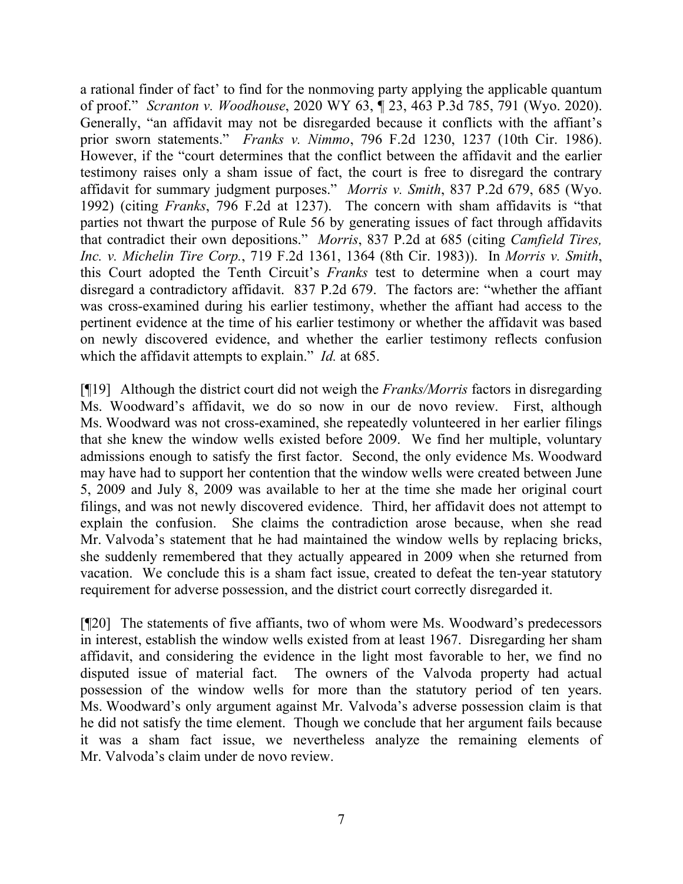a rational finder of fact' to find for the nonmoving party applying the applicable quantum of proof." *Scranton v. Woodhouse*, 2020 WY 63, ¶ 23, 463 P.3d 785, 791 (Wyo. 2020). Generally, "an affidavit may not be disregarded because it conflicts with the affiant's prior sworn statements." *Franks v. Nimmo*, 796 F.2d 1230, 1237 (10th Cir. 1986). However, if the "court determines that the conflict between the affidavit and the earlier testimony raises only a sham issue of fact, the court is free to disregard the contrary affidavit for summary judgment purposes." *Morris v. Smith*, 837 P.2d 679, 685 (Wyo. 1992) (citing *Franks*, 796 F.2d at 1237). The concern with sham affidavits is "that parties not thwart the purpose of Rule 56 by generating issues of fact through affidavits that contradict their own depositions." *Morris*, 837 P.2d at 685 (citing *Camfield Tires, Inc. v. Michelin Tire Corp.*, 719 F.2d 1361, 1364 (8th Cir. 1983)). In *Morris v. Smith*, this Court adopted the Tenth Circuit's *Franks* test to determine when a court may disregard a contradictory affidavit. 837 P.2d 679. The factors are: "whether the affiant was cross-examined during his earlier testimony, whether the affiant had access to the pertinent evidence at the time of his earlier testimony or whether the affidavit was based on newly discovered evidence, and whether the earlier testimony reflects confusion which the affidavit attempts to explain." *Id.* at 685.

[¶19] Although the district court did not weigh the *Franks/Morris* factors in disregarding Ms. Woodward's affidavit, we do so now in our de novo review. First, although Ms. Woodward was not cross-examined, she repeatedly volunteered in her earlier filings that she knew the window wells existed before 2009. We find her multiple, voluntary admissions enough to satisfy the first factor. Second, the only evidence Ms. Woodward may have had to support her contention that the window wells were created between June 5, 2009 and July 8, 2009 was available to her at the time she made her original court filings, and was not newly discovered evidence. Third, her affidavit does not attempt to explain the confusion. She claims the contradiction arose because, when she read Mr. Valvoda's statement that he had maintained the window wells by replacing bricks, she suddenly remembered that they actually appeared in 2009 when she returned from vacation. We conclude this is a sham fact issue, created to defeat the ten-year statutory requirement for adverse possession, and the district court correctly disregarded it.

[¶20] The statements of five affiants, two of whom were Ms. Woodward's predecessors in interest, establish the window wells existed from at least 1967. Disregarding her sham affidavit, and considering the evidence in the light most favorable to her, we find no disputed issue of material fact. The owners of the Valvoda property had actual possession of the window wells for more than the statutory period of ten years. Ms. Woodward's only argument against Mr. Valvoda's adverse possession claim is that he did not satisfy the time element. Though we conclude that her argument fails because it was a sham fact issue, we nevertheless analyze the remaining elements of Mr. Valvoda's claim under de novo review.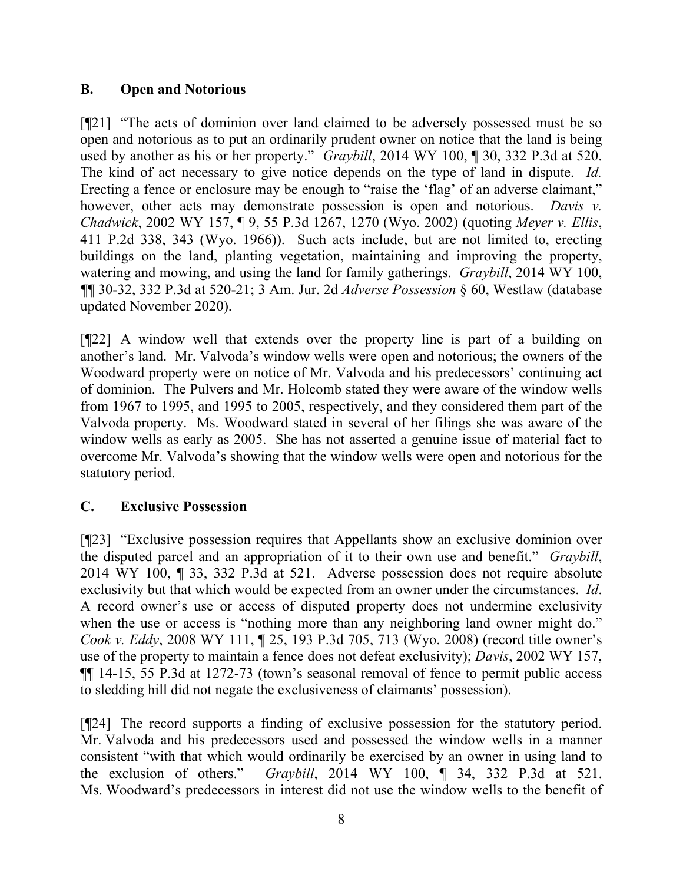## **B. Open and Notorious**

[¶21] "The acts of dominion over land claimed to be adversely possessed must be so open and notorious as to put an ordinarily prudent owner on notice that the land is being used by another as his or her property." *Graybill*, 2014 WY 100, ¶ 30, 332 P.3d at 520. The kind of act necessary to give notice depends on the type of land in dispute. *Id.* Erecting a fence or enclosure may be enough to "raise the 'flag' of an adverse claimant," however, other acts may demonstrate possession is open and notorious. *Davis v. Chadwick*, 2002 WY 157, ¶ 9, 55 P.3d 1267, 1270 (Wyo. 2002) (quoting *Meyer v. Ellis*, 411 P.2d 338, 343 (Wyo. 1966)). Such acts include, but are not limited to, erecting buildings on the land, planting vegetation, maintaining and improving the property, watering and mowing, and using the land for family gatherings. *Graybill*, 2014 WY 100, *¶*¶ 30-32, 332 P.3d at 520-21; 3 Am. Jur. 2d *Adverse Possession* § 60, Westlaw (database updated November 2020).

[¶22] A window well that extends over the property line is part of a building on another's land. Mr. Valvoda's window wells were open and notorious; the owners of the Woodward property were on notice of Mr. Valvoda and his predecessors' continuing act of dominion. The Pulvers and Mr. Holcomb stated they were aware of the window wells from 1967 to 1995, and 1995 to 2005, respectively, and they considered them part of the Valvoda property. Ms. Woodward stated in several of her filings she was aware of the window wells as early as 2005. She has not asserted a genuine issue of material fact to overcome Mr. Valvoda's showing that the window wells were open and notorious for the statutory period.

# **C. Exclusive Possession**

[¶23] "Exclusive possession requires that Appellants show an exclusive dominion over the disputed parcel and an appropriation of it to their own use and benefit." *Graybill*, 2014 WY 100, ¶ 33, 332 P.3d at 521. Adverse possession does not require absolute exclusivity but that which would be expected from an owner under the circumstances. *Id*. A record owner's use or access of disputed property does not undermine exclusivity when the use or access is "nothing more than any neighboring land owner might do." *Cook v. Eddy*, 2008 WY 111, ¶ 25, 193 P.3d 705, 713 (Wyo. 2008) (record title owner's use of the property to maintain a fence does not defeat exclusivity); *Davis*, 2002 WY 157, ¶¶ 14-15, 55 P.3d at 1272-73 (town's seasonal removal of fence to permit public access to sledding hill did not negate the exclusiveness of claimants' possession).

[¶24] The record supports a finding of exclusive possession for the statutory period. Mr. Valvoda and his predecessors used and possessed the window wells in a manner consistent "with that which would ordinarily be exercised by an owner in using land to the exclusion of others." *Graybill*, 2014 WY 100, ¶ 34, 332 P.3d at 521. Ms. Woodward's predecessors in interest did not use the window wells to the benefit of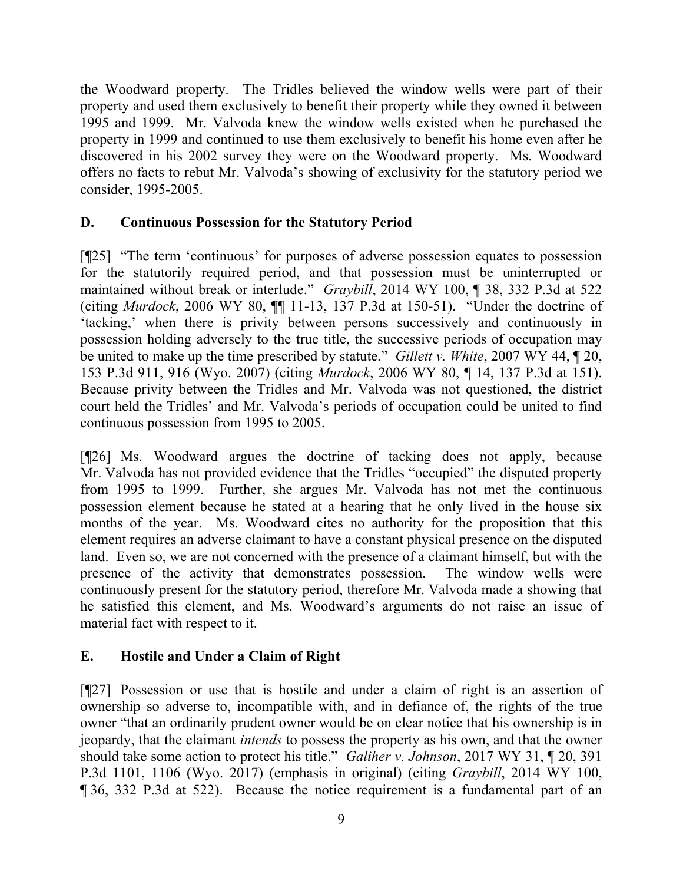the Woodward property. The Tridles believed the window wells were part of their property and used them exclusively to benefit their property while they owned it between 1995 and 1999. Mr. Valvoda knew the window wells existed when he purchased the property in 1999 and continued to use them exclusively to benefit his home even after he discovered in his 2002 survey they were on the Woodward property. Ms. Woodward offers no facts to rebut Mr. Valvoda's showing of exclusivity for the statutory period we consider, 1995-2005.

# **D. Continuous Possession for the Statutory Period**

[¶25] "The term 'continuous' for purposes of adverse possession equates to possession for the statutorily required period, and that possession must be uninterrupted or maintained without break or interlude." *Graybill*, 2014 WY 100, ¶ 38, 332 P.3d at 522 (citing *Murdock*, 2006 WY 80, ¶¶ 11-13, 137 P.3d at 150-51). "Under the doctrine of 'tacking,' when there is privity between persons successively and continuously in possession holding adversely to the true title, the successive periods of occupation may be united to make up the time prescribed by statute." *Gillett v. White*, 2007 WY 44, ¶ 20, 153 P.3d 911, 916 (Wyo. 2007) (citing *Murdock*, 2006 WY 80, ¶ 14, 137 P.3d at 151). Because privity between the Tridles and Mr. Valvoda was not questioned, the district court held the Tridles' and Mr. Valvoda's periods of occupation could be united to find continuous possession from 1995 to 2005.

[¶26] Ms. Woodward argues the doctrine of tacking does not apply, because Mr. Valvoda has not provided evidence that the Tridles "occupied" the disputed property from 1995 to 1999. Further, she argues Mr. Valvoda has not met the continuous possession element because he stated at a hearing that he only lived in the house six months of the year. Ms. Woodward cites no authority for the proposition that this element requires an adverse claimant to have a constant physical presence on the disputed land. Even so, we are not concerned with the presence of a claimant himself, but with the presence of the activity that demonstrates possession. The window wells were continuously present for the statutory period, therefore Mr. Valvoda made a showing that he satisfied this element, and Ms. Woodward's arguments do not raise an issue of material fact with respect to it.

# **E. Hostile and Under a Claim of Right**

[¶27] Possession or use that is hostile and under a claim of right is an assertion of ownership so adverse to, incompatible with, and in defiance of, the rights of the true owner "that an ordinarily prudent owner would be on clear notice that his ownership is in jeopardy, that the claimant *intends* to possess the property as his own, and that the owner should take some action to protect his title." *Galiher v. Johnson*, 2017 WY 31, ¶ 20, 391 P.3d 1101, 1106 (Wyo. 2017) (emphasis in original) (citing *Graybill*, 2014 WY 100, ¶ 36, 332 P.3d at 522). Because the notice requirement is a fundamental part of an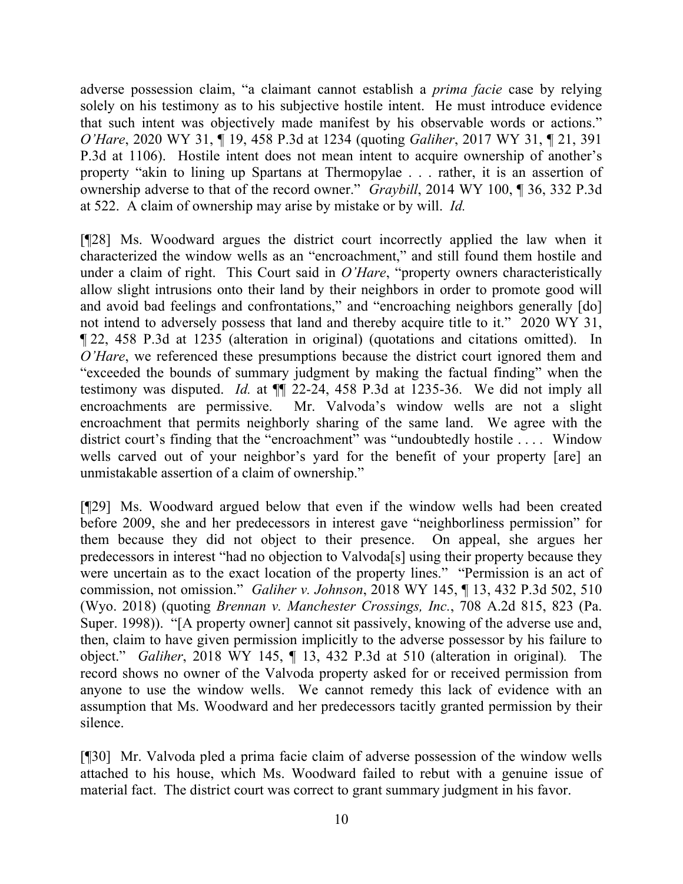adverse possession claim, "a claimant cannot establish a *prima facie* case by relying solely on his testimony as to his subjective hostile intent. He must introduce evidence that such intent was objectively made manifest by his observable words or actions." *O'Hare*, 2020 WY 31, ¶ 19, 458 P.3d at 1234 (quoting *Galiher*, 2017 WY 31, ¶ 21, 391 P.3d at 1106). Hostile intent does not mean intent to acquire ownership of another's property "akin to lining up Spartans at Thermopylae . . . rather, it is an assertion of ownership adverse to that of the record owner." *Graybill*, 2014 WY 100, ¶ 36, 332 P.3d at 522. A claim of ownership may arise by mistake or by will. *Id.*

[¶28] Ms. Woodward argues the district court incorrectly applied the law when it characterized the window wells as an "encroachment," and still found them hostile and under a claim of right. This Court said in *O'Hare*, "property owners characteristically allow slight intrusions onto their land by their neighbors in order to promote good will and avoid bad feelings and confrontations," and "encroaching neighbors generally [do] not intend to adversely possess that land and thereby acquire title to it." 2020 WY 31, ¶ 22, 458 P.3d at 1235 (alteration in original) (quotations and citations omitted). In *O'Hare*, we referenced these presumptions because the district court ignored them and "exceeded the bounds of summary judgment by making the factual finding" when the testimony was disputed. *Id.* at ¶¶ 22-24, 458 P.3d at 1235-36. We did not imply all encroachments are permissive. Mr. Valvoda's window wells are not a slight encroachment that permits neighborly sharing of the same land. We agree with the district court's finding that the "encroachment" was "undoubtedly hostile . . . . Window wells carved out of your neighbor's yard for the benefit of your property [are] an unmistakable assertion of a claim of ownership."

[¶29] Ms. Woodward argued below that even if the window wells had been created before 2009, she and her predecessors in interest gave "neighborliness permission" for them because they did not object to their presence. On appeal, she argues her predecessors in interest "had no objection to Valvoda[s] using their property because they were uncertain as to the exact location of the property lines." "Permission is an act of commission, not omission." *Galiher v. Johnson*, 2018 WY 145, ¶ 13, 432 P.3d 502, 510 (Wyo. 2018) (quoting *Brennan v. Manchester Crossings, Inc.*, 708 A.2d 815, 823 (Pa. Super. 1998)). "[A property owner] cannot sit passively, knowing of the adverse use and, then, claim to have given permission implicitly to the adverse possessor by his failure to object." *Galiher*, 2018 WY 145, ¶ 13, 432 P.3d at 510 (alteration in original)*.* The record shows no owner of the Valvoda property asked for or received permission from anyone to use the window wells. We cannot remedy this lack of evidence with an assumption that Ms. Woodward and her predecessors tacitly granted permission by their silence.

[¶30] Mr. Valvoda pled a prima facie claim of adverse possession of the window wells attached to his house, which Ms. Woodward failed to rebut with a genuine issue of material fact. The district court was correct to grant summary judgment in his favor.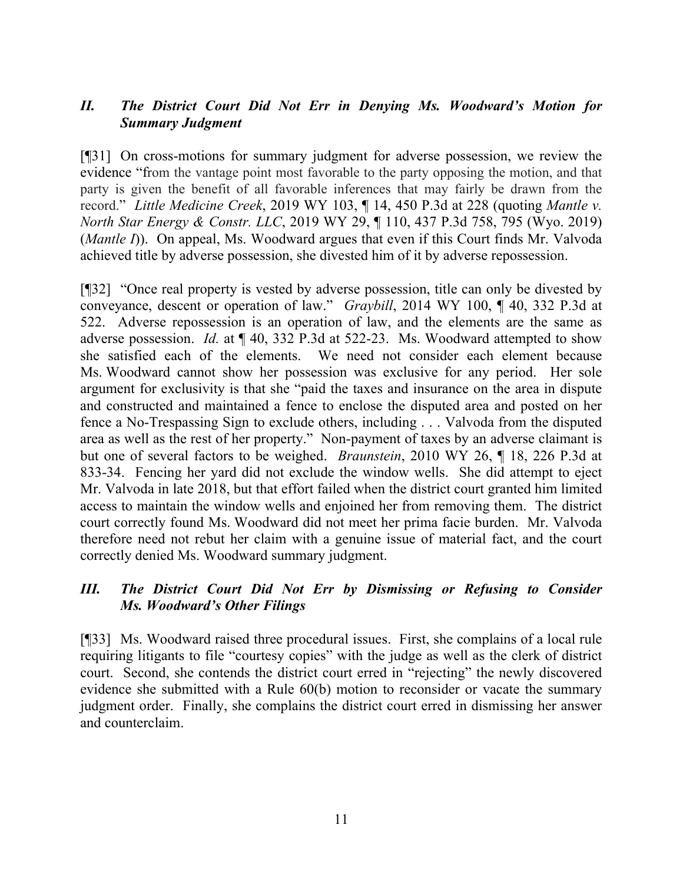## *II. The District Court Did Not Err in Denying Ms. Woodward's Motion for Summary Judgment*

[¶31] On cross-motions for summary judgment for adverse possession, we review the evidence "from the vantage point most favorable to the party opposing the motion, and that party is given the benefit of all favorable inferences that may fairly be drawn from the record." *Little Medicine Creek*, 2019 WY 103, ¶ 14, 450 P.3d at 228 (quoting *Mantle v. North Star Energy & Constr. LLC*, 2019 WY 29, ¶ 110, 437 P.3d 758, 795 (Wyo. 2019) (*Mantle I*)). On appeal, Ms. Woodward argues that even if this Court finds Mr. Valvoda achieved title by adverse possession, she divested him of it by adverse repossession.

[¶32] "Once real property is vested by adverse possession, title can only be divested by conveyance, descent or operation of law." *Graybill*, 2014 WY 100, ¶ 40, 332 P.3d at 522. Adverse repossession is an operation of law, and the elements are the same as adverse possession. *Id.* at ¶ 40, 332 P.3d at 522-23. Ms. Woodward attempted to show she satisfied each of the elements. We need not consider each element because Ms. Woodward cannot show her possession was exclusive for any period. Her sole argument for exclusivity is that she "paid the taxes and insurance on the area in dispute and constructed and maintained a fence to enclose the disputed area and posted on her fence a No-Trespassing Sign to exclude others, including . . . Valvoda from the disputed area as well as the rest of her property." Non-payment of taxes by an adverse claimant is but one of several factors to be weighed. *Braunstein*, 2010 WY 26, ¶ 18, 226 P.3d at 833-34. Fencing her yard did not exclude the window wells. She did attempt to eject Mr. Valvoda in late 2018, but that effort failed when the district court granted him limited access to maintain the window wells and enjoined her from removing them. The district court correctly found Ms. Woodward did not meet her prima facie burden. Mr. Valvoda therefore need not rebut her claim with a genuine issue of material fact, and the court correctly denied Ms. Woodward summary judgment.

## *III. The District Court Did Not Err by Dismissing or Refusing to Consider Ms. Woodward's Other Filings*

[¶33] Ms. Woodward raised three procedural issues. First, she complains of a local rule requiring litigants to file "courtesy copies" with the judge as well as the clerk of district court. Second, she contends the district court erred in "rejecting" the newly discovered evidence she submitted with a Rule 60(b) motion to reconsider or vacate the summary judgment order. Finally, she complains the district court erred in dismissing her answer and counterclaim.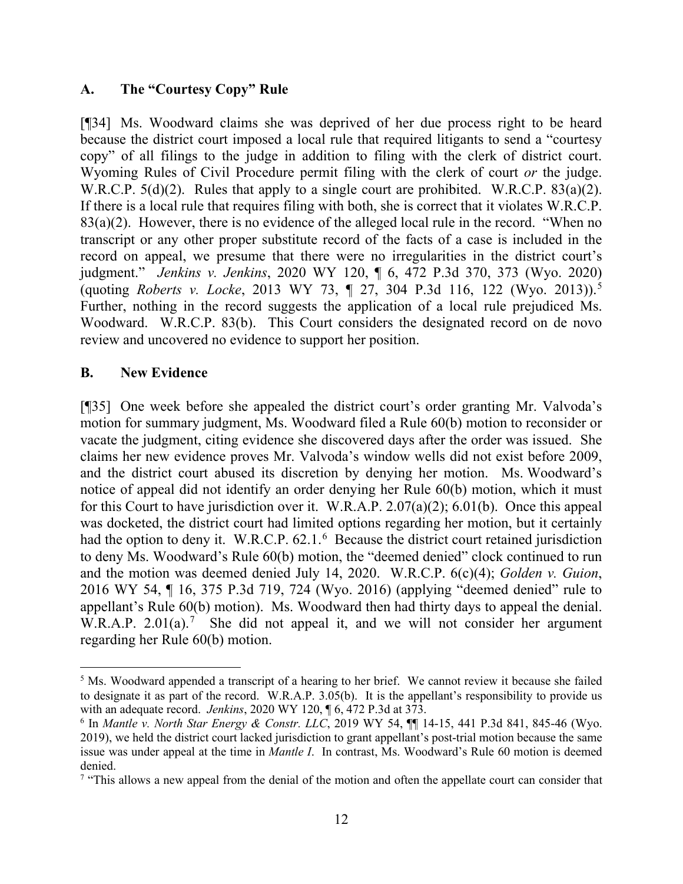### **A. The "Courtesy Copy" Rule**

[¶34] Ms. Woodward claims she was deprived of her due process right to be heard because the district court imposed a local rule that required litigants to send a "courtesy copy" of all filings to the judge in addition to filing with the clerk of district court. Wyoming Rules of Civil Procedure permit filing with the clerk of court *or* the judge. W.R.C.P. 5(d)(2). Rules that apply to a single court are prohibited. W.R.C.P. 83(a)(2). If there is a local rule that requires filing with both, she is correct that it violates W.R.C.P.  $83(a)(2)$ . However, there is no evidence of the alleged local rule in the record. "When no transcript or any other proper substitute record of the facts of a case is included in the record on appeal, we presume that there were no irregularities in the district court's judgment." *Jenkins v. Jenkins*, 2020 WY 120, ¶ 6, 472 P.3d 370, 373 (Wyo. 2020) (quoting *Roberts v. Locke*, 2013 WY 73, ¶ 27, 304 P.3d 116, 122 (Wyo. 2013)).[5](#page-12-0) Further, nothing in the record suggests the application of a local rule prejudiced Ms. Woodward. W.R.C.P. 83(b). This Court considers the designated record on de novo review and uncovered no evidence to support her position.

### **B. New Evidence**

[¶35] One week before she appealed the district court's order granting Mr. Valvoda's motion for summary judgment, Ms. Woodward filed a Rule 60(b) motion to reconsider or vacate the judgment, citing evidence she discovered days after the order was issued. She claims her new evidence proves Mr. Valvoda's window wells did not exist before 2009, and the district court abused its discretion by denying her motion. Ms. Woodward's notice of appeal did not identify an order denying her Rule 60(b) motion, which it must for this Court to have jurisdiction over it. W.R.A.P. 2.07(a)(2); 6.01(b). Once this appeal was docketed, the district court had limited options regarding her motion, but it certainly had the option to deny it. W.R.C.P. [6](#page-12-1)2.1.<sup>6</sup> Because the district court retained jurisdiction to deny Ms. Woodward's Rule 60(b) motion, the "deemed denied" clock continued to run and the motion was deemed denied July 14, 2020. W.R.C.P. 6(c)(4); *Golden v. Guion*, 2016 WY 54, ¶ 16, 375 P.3d 719, 724 (Wyo. 2016) (applying "deemed denied" rule to appellant's Rule 60(b) motion). Ms. Woodward then had thirty days to appeal the denial. W.R.A.P. 2.01(a).<sup>[7](#page-12-2)</sup> She did not appeal it, and we will not consider her argument regarding her Rule 60(b) motion.

<span id="page-12-0"></span><sup>&</sup>lt;sup>5</sup> Ms. Woodward appended a transcript of a hearing to her brief. We cannot review it because she failed to designate it as part of the record. W.R.A.P. 3.05(b). It is the appellant's responsibility to provide us with an adequate record. *Jenkins*, 2020 WY 120,  $\P$  6, 472 P.3d at 373.

<span id="page-12-1"></span> $^6$  In *Mantle v. North Star Energy & Constr. LLC*, 2019 WY 54,  $\P$  14-15, 441 P.3d 841, 845-46 (Wyo. 2019), we held the district court lacked jurisdiction to grant appellant's post-trial motion because the same issue was under appeal at the time in *Mantle I*. In contrast, Ms. Woodward's Rule 60 motion is deemed denied.

<span id="page-12-2"></span><sup>&</sup>lt;sup>7</sup> "This allows a new appeal from the denial of the motion and often the appellate court can consider that